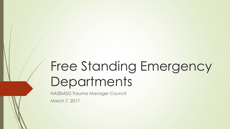# Free Standing Emergency **Departments**

NASEMSO Trauma Manager Council

March 7, 2017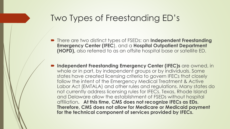#### Two Types of Freestanding ED's

- There are two distinct types of FSEDs: an **Independent Freestanding Emergency Center (IFEC**), and a **Hospital Outpatient Department (HOPD),** also referred to as an offsite hospital base or satellite ED.
- **Independent Freestanding Emergency Center (IFEC)s** are owned, in whole or in part, by independent groups or by individuals. Some states have created licensing criteria to govern IFECs that closely follow the intent of the Emergency Medical Treatment & Active Labor Act (EMTALA) and other rules and regulations. Many states do not currently address licensing rules for IFECs. Texas, Rhode Island and Delaware allow the establishment of FSEDs without hospital affiliation**. At this time, CMS does not recognize IFECs as EDs. Therefore, CMS does not allow for Medicare or Medicaid payment for the technical component of services provided by IFECs.**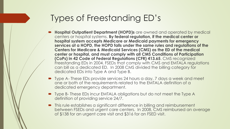#### Types of Freestanding ED's

- **Hospital Outpatient Department (HOPD)s** are owned and operated by medical centers or hospital systems. **By federal regulation, if the medical center or hospital system accepts Medicare or Medicaid payments for emergency services at a HOPD, the HOPD falls under the same rules and regulations of the Centers for Medicare & Medicaid Services (CMS) as the ED of the medical center or hospital, and must comply with all CMS Conditions of Participation (CoPs) in 42 Code of Federal Regulations (CFR) 413.65**. CMS recognized Freestanding EDs in 2004. FSEDs that comply with CMS and EMTALA regulations can bill as a dedicated ED. In 2008 CMS divided the billing category for dedicated EDs into Type A and Type B.
- Type A-These EDs provide services 24 hours a day, 7 days a week and meet one or both of the requirements related to the EMTALA definition of a dedicated emergency department.
- Type B- These EDs incur EMTALA obligations but do not meet the Type A definition of providing service 24/7.
- This rule establishes a significant difference in billing and reimbursement between FSEDs and urgent care centers. In 2008, CMS reimbursed an average of \$138 for an urgent care visit and \$316 for an FSED visit.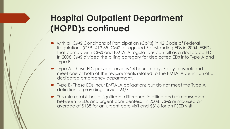# **Hospital Outpatient Department (HOPD)s continued**

- with all CMS Conditions of Participation (CoPs) in 42 Code of Federal Regulations (CFR) 413.65. CMS recognized Freestanding EDs in 2004. FSEDs that comply with CMS and EMTALA regulations can bill as a dedicated ED. In 2008 CMS divided the billing category for dedicated EDs into Type A and Type B.
- Type A- These EDs provide services 24 hours a day, 7 days a week and meet one or both of the requirements related to the EMTALA definition of a dedicated emergency department.
- Type B- These EDs incur EMTALA obligations but do not meet the Type A definition of providing service 24/7.
- **•** This rule establishes a significant difference in billing and reimbursement between FSEDs and urgent care centers. In 2008, CMS reimbursed an average of \$138 for an urgent care visit and \$316 for an FSED visit.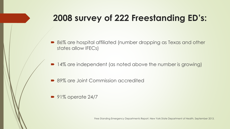# **2008 survey of 222 Freestanding ED's:**

- 86% are hospital affiliated (number dropping as Texas and other states allow IFECs)
- 14% are independent (as noted above the number is growing)
- 89% are Joint Commission accredited
- $\bullet$  91% operate 24/7

Free Standing Emergency Departments Report. New York State Department of Health, September 2013.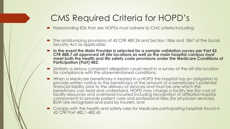### CMS Required Criteria for HOPD's

**•** Freestanding EDs that are HOPDs must adhere to CMS criteria including:

- The antidumping provisions of 42 CFR 489.24 and Section 1866 and 1867 of the Social Security Act as applicable;
- **In the event the Main Provider is selected for a sample validation survey per Part 42 CFR 488.7 all approved off site locations as well as the main hospital campus must meet both the health and life safety code provisions under the Medicare Conditions of Participation (Part) 482;**
- Similarly a serious complaint allegation could result in a survey of the off-site location for compliance with the aforementioned conditions;
- When a Medicare beneficiary is treated in a HOPD the hospital has an obligation to provide written notice to the beneficiary of the amount of a beneficiary's potential financial liability prior to the delivery of services and must be one which the beneficiary can read and understand. HOPD may charge a facility fee (for cost of facility resources and overhead incurred including recognition of affiliated hospital component) to provide patient care and professional fees (for physician services). Both are recognized and paid by insurers; and
- Comply with the health and safety rules for Medicare participating hospitals found in 42 CFR Part 482.1-482.45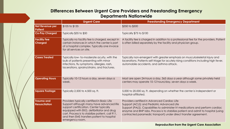#### **Differences Between Urgent Care Providers and Freestanding Emergency Departments Nationwide**

|  |                                           | <b>Urgent Care</b>                                                                                                                                                                                                                                                                                   | <b>Freestanding Emergency Department</b>                                                                                                                                                                                                                                                                                             |
|--|-------------------------------------------|------------------------------------------------------------------------------------------------------------------------------------------------------------------------------------------------------------------------------------------------------------------------------------------------------|--------------------------------------------------------------------------------------------------------------------------------------------------------------------------------------------------------------------------------------------------------------------------------------------------------------------------------------|
|  | Net Revenue per<br>Patient                | \$105 to \$135                                                                                                                                                                                                                                                                                       | \$350 to \$500                                                                                                                                                                                                                                                                                                                       |
|  | <b>Co-Pay Charged</b>                     | Typically \$35 to \$50                                                                                                                                                                                                                                                                               | <b>Typically \$75 to \$100</b>                                                                                                                                                                                                                                                                                                       |
|  | <b>Facility Fee</b><br><b>Charged</b>     | Typically no facility fee is charged, except in<br>certain instances in which the center is part<br>of a hospital complex. Typically one invoice<br>for all services on site.                                                                                                                        | A facility fee is charged in addition to a professional fee for the providers. Patient<br>is often billed separately by the facility and physician group.                                                                                                                                                                            |
|  | <b>Cases Treated</b>                      | Typically low- to-moderate acuity, with the<br>bulk of patients presenting with minor<br>infections, flu symptoms, allergies, rash,<br>lacerations, sprains/strains, and fractures.                                                                                                                  | Typically non-emergent with greater emphasis on musculoskeletal injury and<br>lacerations. Patients self-triage for acutely rising conditions including high fever,<br>automobile accidents, and asthma attack.                                                                                                                      |
|  | <b>Operating Hours</b>                    | Typically 10-12 hours a day, seven days a<br>week.                                                                                                                                                                                                                                                   | Most are open 24-hours a day, 365 days a year although some privately held<br>centers may operate 10-12 hours/day, seven days a week.                                                                                                                                                                                                |
|  | <b>Square Footage</b>                     | Typically 2,500 to 4,500 sq. ft.                                                                                                                                                                                                                                                                     | 5,000 to 20,000 sq. ft. depending on whether the center is independent or<br>hospital-affiliated.                                                                                                                                                                                                                                    |
|  | <b>Trauma and</b><br><b>Resuscitation</b> | Providers typically certified in Basic Life<br>Support although many have advanced life<br>support certification. Center typically<br>equipped with EKG, defibrillator and drug<br>cart. Process is to stabilize patient, call 911,<br>and then EMS transfers patient to hospital<br>emergency room. | Providers certified in Advanced Cardiac Life<br>Support (ACLS) and Pediatric Advanced Life<br>Support (PALS). Capabilities to administer IV medications and perform cardiac<br>enzyme and BNP labs. Process is to stabilize patient and admit to hospital (using<br>contracted paramedic transport) under direct transfer agreement. |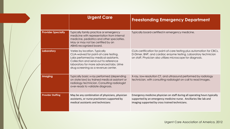|  |                           | <b>Urgent Care</b>                                                                                                                                                                                                                          | <b>Freestanding Emergency Department</b>                                                                                                                                                                 |
|--|---------------------------|---------------------------------------------------------------------------------------------------------------------------------------------------------------------------------------------------------------------------------------------|----------------------------------------------------------------------------------------------------------------------------------------------------------------------------------------------------------|
|  | <b>Provider Specialty</b> | Typically family practice or emergency<br>medicine with representation from internal<br>medicine, pediatrics and other specialties.<br>May or may not be certified by an<br>ABMS-recognized board.                                          | Typically board-certified in emergency medicine.                                                                                                                                                         |
|  | Laboratory                | Varies by location. Typically<br>CLIA-waived for point-of-care testing.<br>Labs performed by medical assistants.<br>Collection and send-out to reference<br>laboratory for more advanced labs. Urine<br>drug screening as a revenue center. | CLIA-certification for point-of-care testing plus automation for CBCs,<br>D-Dimer, BNP, and cardiac enzyme testing. Laboratory technician<br>on staff. Physician also utilizes microscope for diagnosis. |
|  | <b>Imaging</b>            | Typically basic x-ray performed (depending<br>on state law) by trained medical assistant or<br>radiology technician. Consulting radiologist<br>over-reads to validate diagnosis.                                                            | X-ray, low-resolution CT, and ultrasound performed by radiology<br>technician, with consulting radiologist on-call to read images.                                                                       |
|  | <b>Provider Staffing</b>  | May be any combination of physicians, physician<br>assistants, or nurse practioners supported by<br>medical assistants and technicians                                                                                                      | Emergency medicine physician on staff during all operating hours typically<br>supported by an emergency medicine nurse. Ancillaries like lab and<br>imaging supported by cross trained technicians.      |